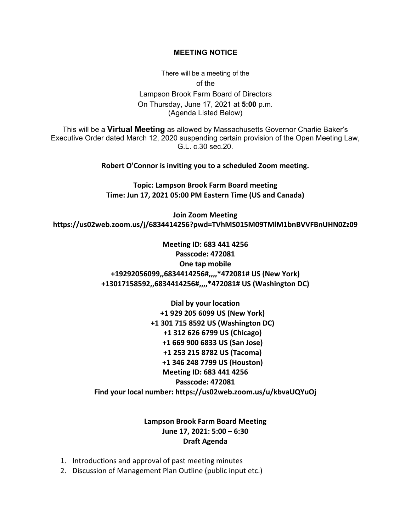## **MEETING NOTICE**

There will be a meeting of the of the Lampson Brook Farm Board of Directors On Thursday, June 17, 2021 at **5:00** p.m. (Agenda Listed Below)

This will be a **Virtual Meeting** as allowed by Massachusetts Governor Charlie Baker's Executive Order dated March 12, 2020 suspending certain provision of the Open Meeting Law, G.L. c.30 sec.20.

**Robert O'Connor is inviting you to a scheduled Zoom meeting.**

**Topic: Lampson Brook Farm Board meeting Time: Jun 17, 2021 05:00 PM Eastern Time (US and Canada)**

**Join Zoom Meeting https://us02web.zoom.us/j/6834414256?pwd=TVhMS015M09TMlM1bnBVVFBnUHN0Zz09**

> **Meeting ID: 683 441 4256 Passcode: 472081 One tap mobile +19292056099,,6834414256#,,,,\*472081# US (New York) +13017158592,,6834414256#,,,,\*472081# US (Washington DC)**

**Dial by your location +1 929 205 6099 US (New York) +1 301 715 8592 US (Washington DC) +1 312 626 6799 US (Chicago) +1 669 900 6833 US (San Jose) +1 253 215 8782 US (Tacoma) +1 346 248 7799 US (Houston) Meeting ID: 683 441 4256 Passcode: 472081 Find your local number: https://us02web.zoom.us/u/kbvaUQYuOj**

## **Lampson Brook Farm Board Meeting June 17, 2021: 5:00 – 6:30 Draft Agenda**

- 1. Introductions and approval of past meeting minutes
- 2. Discussion of Management Plan Outline (public input etc.)